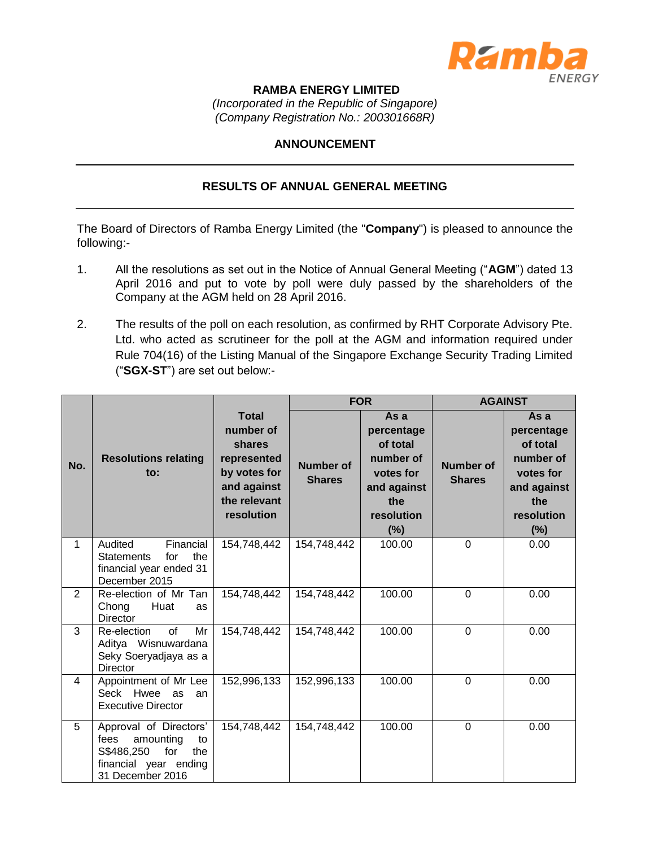

## **RAMBA ENERGY LIMITED**

*(Incorporated in the Republic of Singapore) (Company Registration No.: 200301668R)*

## **ANNOUNCEMENT**

## **RESULTS OF ANNUAL GENERAL MEETING**

The Board of Directors of Ramba Energy Limited (the "**Company**") is pleased to announce the following:-

- 1. All the resolutions as set out in the Notice of Annual General Meeting ("**AGM**") dated 13 April 2016 and put to vote by poll were duly passed by the shareholders of the Company at the AGM held on 28 April 2016.
- 2. The results of the poll on each resolution, as confirmed by RHT Corporate Advisory Pte. Ltd. who acted as scrutineer for the poll at the AGM and information required under Rule 704(16) of the Listing Manual of the Singapore Exchange Security Trading Limited ("**SGX-ST**") are set out below:-

|                |                                                                                                                            |                                                                                                                 |                                   | <b>FOR</b>                                                                                          | <b>AGAINST</b>                    |                                                                                                        |
|----------------|----------------------------------------------------------------------------------------------------------------------------|-----------------------------------------------------------------------------------------------------------------|-----------------------------------|-----------------------------------------------------------------------------------------------------|-----------------------------------|--------------------------------------------------------------------------------------------------------|
| No.            | <b>Resolutions relating</b><br>to:                                                                                         | <b>Total</b><br>number of<br>shares<br>represented<br>by votes for<br>and against<br>the relevant<br>resolution | <b>Number of</b><br><b>Shares</b> | As a<br>percentage<br>of total<br>number of<br>votes for<br>and against<br>the<br>resolution<br>(%) | <b>Number of</b><br><b>Shares</b> | As a<br>percentage<br>of total<br>number of<br>votes for<br>and against<br>the<br>resolution<br>$(\%)$ |
| $\mathbf{1}$   | Financial<br>Audited<br>the<br><b>Statements</b><br>for<br>financial year ended 31<br>December 2015                        | 154,748,442                                                                                                     | 154,748,442                       | 100.00                                                                                              | 0                                 | 0.00                                                                                                   |
| $\overline{2}$ | Re-election of Mr Tan<br>Huat<br>Chong<br>as<br><b>Director</b>                                                            | 154,748,442                                                                                                     | 154,748,442                       | 100.00                                                                                              | $\Omega$                          | 0.00                                                                                                   |
| 3              | $\Omega$<br>Re-election<br>Mr<br>Aditya Wisnuwardana<br>Seky Soeryadjaya as a<br><b>Director</b>                           | 154,748,442                                                                                                     | 154,748,442                       | 100.00                                                                                              | 0                                 | 0.00                                                                                                   |
| 4              | Appointment of Mr Lee<br>Seck Hwee as<br>an<br><b>Executive Director</b>                                                   | 152,996,133                                                                                                     | 152,996,133                       | 100.00                                                                                              | $\Omega$                          | 0.00                                                                                                   |
| 5              | Approval of Directors'<br>amounting<br>fees<br>to<br>S\$486,250<br>for<br>the<br>financial year ending<br>31 December 2016 | 154,748,442                                                                                                     | 154,748,442                       | 100.00                                                                                              | $\overline{0}$                    | 0.00                                                                                                   |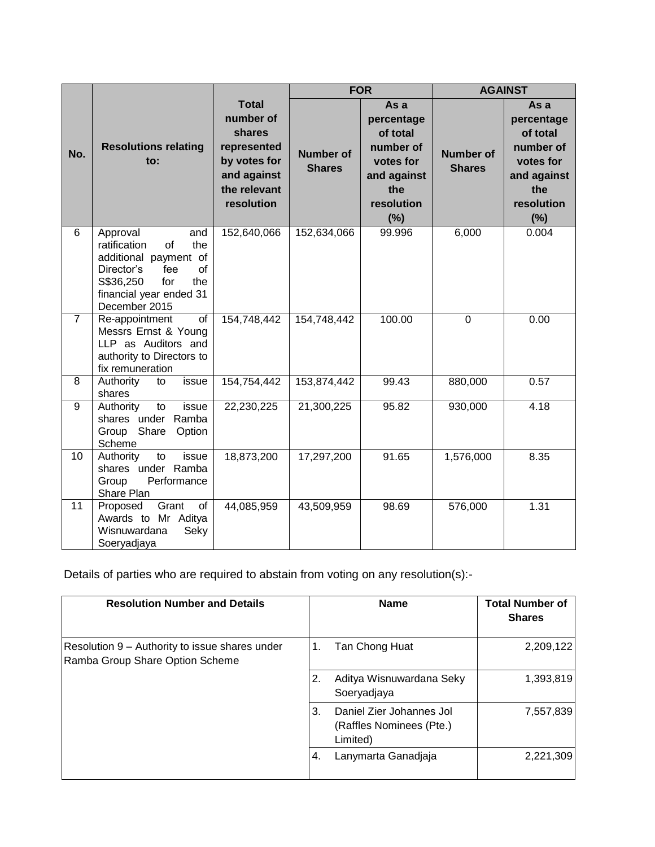|                |                                                                                                                                                                         |                                                                                                                 | <b>FOR</b>                        |                                                                                                     | <b>AGAINST</b>                    |                                                                                                        |
|----------------|-------------------------------------------------------------------------------------------------------------------------------------------------------------------------|-----------------------------------------------------------------------------------------------------------------|-----------------------------------|-----------------------------------------------------------------------------------------------------|-----------------------------------|--------------------------------------------------------------------------------------------------------|
| No.            | <b>Resolutions relating</b><br>to:                                                                                                                                      | <b>Total</b><br>number of<br>shares<br>represented<br>by votes for<br>and against<br>the relevant<br>resolution | <b>Number of</b><br><b>Shares</b> | As a<br>percentage<br>of total<br>number of<br>votes for<br>and against<br>the<br>resolution<br>(%) | <b>Number of</b><br><b>Shares</b> | As a<br>percentage<br>of total<br>number of<br>votes for<br>and against<br>the<br>resolution<br>$(\%)$ |
| 6              | Approval<br>and<br>the<br>ratification<br>of<br>additional payment of<br>of<br>fee<br>Director's<br>S\$36,250<br>for<br>the<br>financial year ended 31<br>December 2015 | 152,640,066                                                                                                     | 152,634,066                       | 99.996                                                                                              | 6,000                             | 0.004                                                                                                  |
| $\overline{7}$ | of<br>Re-appointment<br>Messrs Ernst & Young<br>LLP as Auditors and<br>authority to Directors to<br>fix remuneration                                                    | 154,748,442                                                                                                     | 154,748,442                       | 100.00                                                                                              | 0                                 | 0.00                                                                                                   |
| 8              | Authority<br>issue<br>to<br>shares                                                                                                                                      | 154,754,442                                                                                                     | 153,874,442                       | 99.43                                                                                               | 880,000                           | 0.57                                                                                                   |
| 9              | Authority<br>to<br>issue<br>shares under Ramba<br>Group<br>Share<br>Option<br>Scheme                                                                                    | 22,230,225                                                                                                      | 21,300,225                        | 95.82                                                                                               | 930,000                           | 4.18                                                                                                   |
| 10             | Authority<br>to<br>issue<br>shares under Ramba<br>Performance<br>Group<br>Share Plan                                                                                    | 18,873,200                                                                                                      | 17,297,200                        | 91.65                                                                                               | 1,576,000                         | 8.35                                                                                                   |
| 11             | Grant<br>of<br>Proposed<br>Awards to Mr Aditya<br>Wisnuwardana<br>Seky<br>Soeryadjaya                                                                                   | 44,085,959                                                                                                      | 43,509,959                        | 98.69                                                                                               | 576,000                           | 1.31                                                                                                   |

Details of parties who are required to abstain from voting on any resolution(s):-

| <b>Resolution Number and Details</b>                                              | <b>Name</b>                                                            | <b>Total Number of</b><br><b>Shares</b> |
|-----------------------------------------------------------------------------------|------------------------------------------------------------------------|-----------------------------------------|
| Resolution 9 – Authority to issue shares under<br>Ramba Group Share Option Scheme | Tan Chong Huat<br>1.                                                   | 2,209,122                               |
|                                                                                   | Aditya Wisnuwardana Seky<br>2.<br>Soeryadjaya                          | 1,393,819                               |
|                                                                                   | Daniel Zier Johannes Jol<br>3.<br>(Raffles Nominees (Pte.)<br>Limited) | 7,557,839                               |
|                                                                                   | Lanymarta Ganadjaja<br>4.                                              | 2,221,309                               |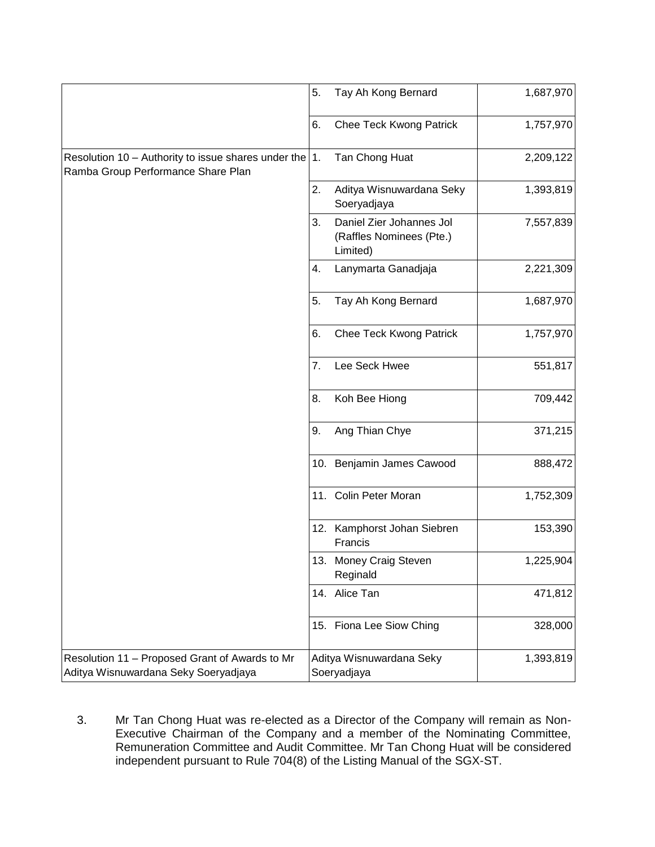|                                                                                                  | 5. | Tay Ah Kong Bernard                                              | 1,687,970 |
|--------------------------------------------------------------------------------------------------|----|------------------------------------------------------------------|-----------|
|                                                                                                  | 6. | Chee Teck Kwong Patrick                                          | 1,757,970 |
| Resolution 10 – Authority to issue shares under the $ 1$ .<br>Ramba Group Performance Share Plan |    | Tan Chong Huat                                                   | 2,209,122 |
|                                                                                                  | 2. | Aditya Wisnuwardana Seky<br>Soeryadjaya                          | 1,393,819 |
|                                                                                                  | 3. | Daniel Zier Johannes Jol<br>(Raffles Nominees (Pte.)<br>Limited) | 7,557,839 |
|                                                                                                  | 4. | Lanymarta Ganadjaja                                              | 2,221,309 |
|                                                                                                  | 5. | Tay Ah Kong Bernard                                              | 1,687,970 |
|                                                                                                  | 6. | <b>Chee Teck Kwong Patrick</b>                                   | 1,757,970 |
|                                                                                                  | 7. | Lee Seck Hwee                                                    | 551,817   |
|                                                                                                  | 8. | Koh Bee Hiong                                                    | 709,442   |
|                                                                                                  | 9. | Ang Thian Chye                                                   | 371,215   |
|                                                                                                  |    | 10. Benjamin James Cawood                                        | 888,472   |
|                                                                                                  |    | 11. Colin Peter Moran                                            | 1,752,309 |
|                                                                                                  |    | 12. Kamphorst Johan Siebren<br>Francis                           | 153,390   |
|                                                                                                  |    | 13. Money Craig Steven<br>Reginald                               | 1,225,904 |
|                                                                                                  |    | 14. Alice Tan                                                    | 471,812   |
|                                                                                                  |    | 15. Fiona Lee Siow Ching                                         | 328,000   |
| Resolution 11 - Proposed Grant of Awards to Mr<br>Aditya Wisnuwardana Seky Soeryadjaya           |    | Aditya Wisnuwardana Seky<br>Soeryadjaya                          | 1,393,819 |

3. Mr Tan Chong Huat was re-elected as a Director of the Company will remain as Non-Executive Chairman of the Company and a member of the Nominating Committee, Remuneration Committee and Audit Committee. Mr Tan Chong Huat will be considered independent pursuant to Rule 704(8) of the Listing Manual of the SGX-ST.